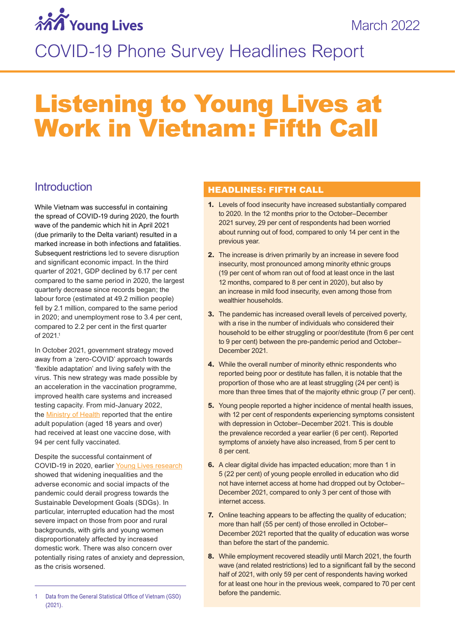# *MA* Young Lives

## COVID-19 Phone Survey Headlines Report

## Listening to Young Lives at Work in Vietnam: Fifth Call

## **Introduction**

While Vietnam was successful in containing the spread of COVID-19 during 2020, the fourth wave of the pandemic which hit in April 2021 (due primarily to the Delta variant) resulted in a marked increase in both infections and fatalities. Subsequent restrictions led to severe disruption and significant economic impact. In the third quarter of 2021, GDP declined by 6.17 per cent compared to the same period in 2020, the largest quarterly decrease since records began; the labour force (estimated at 49.2 million people) fell by 2.1 million, compared to the same period in 2020; and unemployment rose to 3.4 per cent, compared to 2.2 per cent in the first quarter of 2021.1

In October 2021, government strategy moved away from a 'zero-COVID' approach towards 'flexible adaptation' and living safely with the virus. This new strategy was made possible by an acceleration in the vaccination programme, improved health care systems and increased testing capacity. From mid-January 2022, the [Ministry of Health](https://moh.gov.vn/hoat-dong-cua-lanh-dao-bo/-/asset_publisher/TW6LTp1ZtwaN/content/tap-trung-than-toc-hon-nua-trong-tiem-vaccine-phong-covid-19-e-co-co-so-mo-cua-an-toan) reported that the entire adult population (aged 18 years and over) had received at least one vaccine dose, with 94 per cent fully vaccinated.

Despite the successful containment of COVID-19 in 2020, earlier [Young Lives research](https://www.younglives.org.uk/sites/default/files/migrated/YL-PolicyBrief-49-Jul21.pdf) showed that widening inequalities and the adverse economic and social impacts of the pandemic could derail progress towards the Sustainable Development Goals (SDGs). In particular, interrupted education had the most severe impact on those from poor and rural backgrounds, with girls and young women disproportionately affected by increased domestic work. There was also concern over potentially rising rates of anxiety and depression, as the crisis worsened.

#### HEADLINES: FIFTH CALL

- **1.** Levels of food insecurity have increased substantially compared to 2020. In the 12 months prior to the October–December 2021 survey, 29 per cent of respondents had been worried about running out of food, compared to only 14 per cent in the previous year.
- **2.** The increase is driven primarily by an increase in severe food insecurity, most pronounced among minority ethnic groups (19 per cent of whom ran out of food at least once in the last 12 months, compared to 8 per cent in 2020), but also by an increase in mild food insecurity, even among those from wealthier households.
- **3.** The pandemic has increased overall levels of perceived poverty, with a rise in the number of individuals who considered their household to be either struggling or poor/destitute (from 6 per cent to 9 per cent) between the pre-pandemic period and October– December 2021.
- **4.** While the overall number of minority ethnic respondents who reported being poor or destitute has fallen, it is notable that the proportion of those who are at least struggling (24 per cent) is more than three times that of the majority ethnic group (7 per cent).
- **5.** Young people reported a higher incidence of mental health issues, with 12 per cent of respondents experiencing symptoms consistent with depression in October–December 2021. This is double the prevalence recorded a year earlier (6 per cent). Reported symptoms of anxiety have also increased, from 5 per cent to 8 per cent.
- **6.** A clear digital divide has impacted education; more than 1 in 5 (22 per cent) of young people enrolled in education who did not have internet access at home had dropped out by October– December 2021, compared to only 3 per cent of those with internet access.
- **7.** Online teaching appears to be affecting the quality of education; more than half (55 per cent) of those enrolled in October– December 2021 reported that the quality of education was worse than before the start of the pandemic.
- **8.** While employment recovered steadily until March 2021, the fourth wave (and related restrictions) led to a significant fall by the second half of 2021, with only 59 per cent of respondents having worked for at least one hour in the previous week, compared to 70 per cent before the pandemic.

<sup>1</sup> Data from the General Statistical Office of Vietnam (GSO) (2021).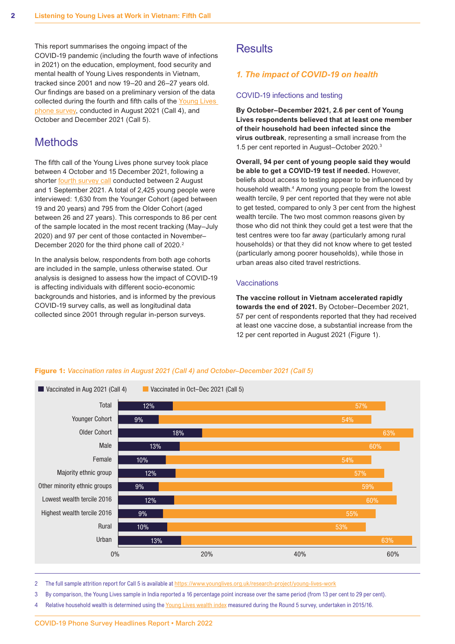This report summarises the ongoing impact of the COVID-19 pandemic (including the fourth wave of infections in 2021) on the education, employment, food security and mental health of Young Lives respondents in Vietnam, tracked since 2001 and now 19–20 and 26–27 years old. Our findings are based on a preliminary version of the data collected during the fourth and fifth calls of the [Young Lives](https://www.younglives.org.uk/research-project/young-lives-work)  [phone survey](https://www.younglives.org.uk/research-project/young-lives-work), conducted in August 2021 (Call 4), and October and December 2021 (Call 5).

## **Methods**

The fifth call of the Young Lives phone survey took place between 4 October and 15 December 2021, following a shorter **fourth survey call** conducted between 2 August and 1 September 2021. A total of 2,425 young people were interviewed: 1,630 from the Younger Cohort (aged between 19 and 20 years) and 795 from the Older Cohort (aged between 26 and 27 years). This corresponds to 86 per cent of the sample located in the most recent tracking (May–July 2020) and 97 per cent of those contacted in November– December 2020 for the third phone call of 2020.<sup>2</sup>

In the analysis below, respondents from both age cohorts are included in the sample, unless otherwise stated. Our analysis is designed to assess how the impact of COVID-19 is affecting individuals with different socio-economic backgrounds and histories, and is informed by the previous COVID-19 survey calls, as well as longitudinal data collected since 2001 through regular in-person surveys.

## **Results**

#### *1. The impact of COVID-19 on health*

#### COVID-19 infections and testing

**By October–December 2021, 2.6 per cent of Young Lives respondents believed that at least one member of their household had been infected since the virus outbreak**, representing a small increase from the 1.5 per cent reported in August–October 2020.3

**Overall, 94 per cent of young people said they would be able to get a COVID-19 test if needed.** However, beliefs about access to testing appear to be influenced by household wealth.<sup>4</sup> Among young people from the lowest wealth tercile, 9 per cent reported that they were not able to get tested, compared to only 3 per cent from the highest wealth tercile. The two most common reasons given by those who did not think they could get a test were that the test centres were too far away (particularly among rural households) or that they did not know where to get tested (particularly among poorer households), while those in urban areas also cited travel restrictions.

#### Vaccinations

**The vaccine rollout in Vietnam accelerated rapidly towards the end of 2021.** By October–December 2021, 57 per cent of respondents reported that they had received at least one vaccine dose, a substantial increase from the 12 per cent reported in August 2021 (Figure 1).



**Figure 1:** *Vaccination rates in August 2021 (Call 4) and October–December 2021 (Call 5)*

2 The full sample attrition report for Call 5 is available at [https://www.younglives.org.uk/research-project/young-lives-work](https://www.younglives.org.uk/research-project/young-lives-work/)

- 3 By comparison, the Young Lives sample in India reported a 16 percentage point increase over the same period (from 13 per cent to 29 per cent).
- 4 Relative household wealth is determined using the [Young Lives wealth index](https://assets.publishing.service.gov.uk/media/5acb49bce5274a7f20e712c1/YL-TN43_0.pdf) measured during the Round 5 survey, undertaken in 2015/16.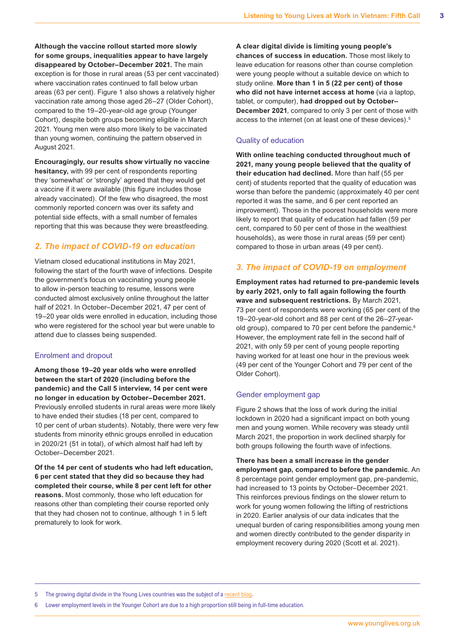**Although the vaccine rollout started more slowly for some groups, inequalities appear to have largely disappeared by October–December 2021.** The main exception is for those in rural areas (53 per cent vaccinated) where vaccination rates continued to fall below urban areas (63 per cent). Figure 1 also shows a relatively higher vaccination rate among those aged 26–27 (Older Cohort), compared to the 19–20-year-old age group (Younger Cohort), despite both groups becoming eligible in March 2021. Young men were also more likely to be vaccinated than young women, continuing the pattern observed in August 2021.

**Encouragingly, our results show virtually no vaccine hesitancy,** with 99 per cent of respondents reporting they 'somewhat' or 'strongly' agreed that they would get a vaccine if it were available (this figure includes those already vaccinated). Of the few who disagreed, the most commonly reported concern was over its safety and potential side effects, with a small number of females reporting that this was because they were breastfeeding.

#### *2. The impact of COVID-19 on education*

Vietnam closed educational institutions in May 2021, following the start of the fourth wave of infections. Despite the government's focus on vaccinating young people to allow in-person teaching to resume, lessons were conducted almost exclusively online throughout the latter half of 2021. In October–December 2021, 47 per cent of 19–20 year olds were enrolled in education, including those who were registered for the school year but were unable to attend due to classes being suspended.

#### Enrolment and dropout

**Among those 19–20 year olds who were enrolled between the start of 2020 (including before the pandemic) and the Call 5 interview, 14 per cent were no longer in education by October–December 2021.** Previously enrolled students in rural areas were more likely to have ended their studies (18 per cent, compared to 10 per cent of urban students). Notably, there were very few students from minority ethnic groups enrolled in education in 2020/21 (51 in total), of which almost half had left by October–December 2021.

**Of the 14 per cent of students who had left education, 6 per cent stated that they did so because they had completed their course, while 8 per cent left for other reasons.** Most commonly, those who left education for reasons other than completing their course reported only that they had chosen not to continue, although 1 in 5 left prematurely to look for work.

**A clear digital divide is limiting young people's chances of success in education.** Those most likely to leave education for reasons other than course completion were young people without a suitable device on which to study online. **More than 1 in 5 (22 per cent) of those who did not have internet access at home** (via a laptop, tablet, or computer), **had dropped out by October– December 2021**, compared to only 3 per cent of those with access to the internet (on at least one of these devices).5

#### Quality of education

**With online teaching conducted throughout much of 2021, many young people believed that the quality of their education had declined.** More than half (55 per cent) of students reported that the quality of education was worse than before the pandemic (approximately 40 per cent reported it was the same, and 6 per cent reported an improvement). Those in the poorest households were more likely to report that quality of education had fallen (59 per cent, compared to 50 per cent of those in the wealthiest households), as were those in rural areas (59 per cent) compared to those in urban areas (49 per cent).

#### *3. The impact of COVID-19 on employment*

**Employment rates had returned to pre-pandemic levels by early 2021, only to fall again following the fourth wave and subsequent restrictions.** By March 2021, 73 per cent of respondents were working (65 per cent of the 19–20-year-old cohort and 88 per cent of the 26–27-yearold group), compared to 70 per cent before the pandemic.<sup>6</sup> However, the employment rate fell in the second half of 2021, with only 59 per cent of young people reporting having worked for at least one hour in the previous week (49 per cent of the Younger Cohort and 79 per cent of the Older Cohort).

#### Gender employment gap

Figure 2 shows that the loss of work during the initial lockdown in 2020 had a significant impact on both young men and young women. While recovery was steady until March 2021, the proportion in work declined sharply for both groups following the fourth wave of infections.

**There has been a small increase in the gender employment gap, compared to before the pandemic**. An 8 percentage point gender employment gap, pre-pandemic, had increased to 13 points by October–December 2021. This reinforces previous findings on the slower return to work for young women following the lifting of restrictions in 2020. Earlier analysis of our data indicates that the unequal burden of caring responsibilities among young men and women directly contributed to the gender disparity in employment recovery during 2020 (Scott et al. 2021).

5 The growing digital divide in the Young Lives countries was the subject of a [recent blog](https://www.younglives.org.uk/news/addressing-gender-digital-divide-critical-ensure-no-one-left-behind-covid-19).

6 Lower employment levels in the Younger Cohort are due to a high proportion still being in full-time education.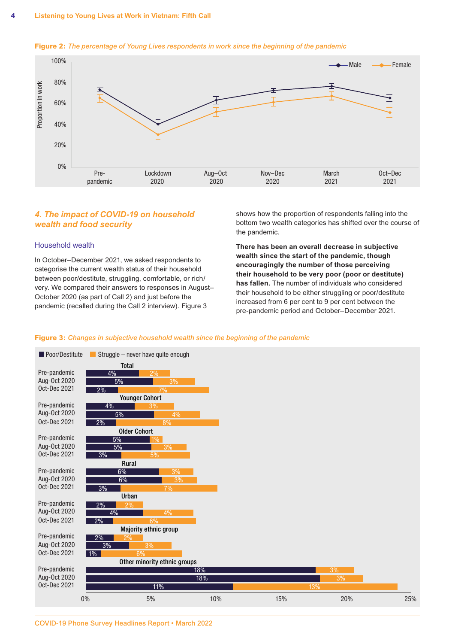

#### **Figure 2:** *The percentage of Young Lives respondents in work since the beginning of the pandemic*

#### *4. The impact of COVID-19 on household wealth and food security*

#### Household wealth

In October–December 2021, we asked respondents to categorise the current wealth status of their household between poor/destitute, struggling, comfortable, or rich/ very. We compared their answers to responses in August– October 2020 (as part of Call 2) and just before the pandemic (recalled during the Call 2 interview). Figure 3

shows how the proportion of respondents falling into the bottom two wealth categories has shifted over the course of the pandemic.

**There has been an overall decrease in subjective wealth since the start of the pandemic, though encouragingly the number of those perceiving their household to be very poor (poor or destitute) has fallen.** The number of individuals who considered their household to be either struggling or poor/destitute increased from 6 per cent to 9 per cent between the pre-pandemic period and October–December 2021.

#### **Figure 3:** *Changes in subjective household wealth since the beginning of the pandemic*

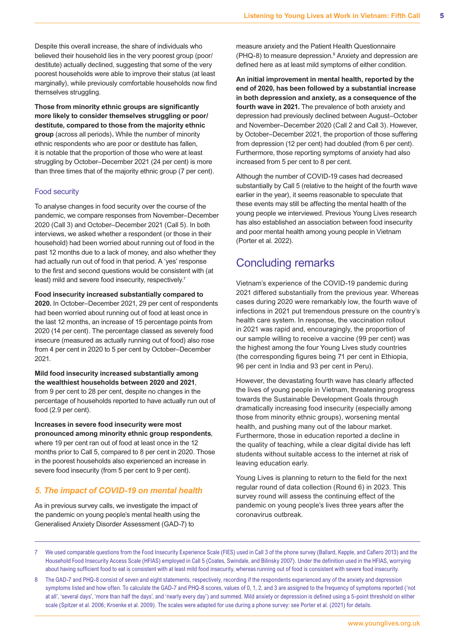Despite this overall increase, the share of individuals who believed their household lies in the very poorest group (poor/ destitute) actually declined, suggesting that some of the very poorest households were able to improve their status (at least marginally), while previously comfortable households now find themselves struggling.

**Those from minority ethnic groups are significantly more likely to consider themselves struggling or poor/ destitute, compared to those from the majority ethnic group** (across all periods)**.** While the number of minority ethnic respondents who are poor or destitute has fallen, it is notable that the proportion of those who were at least struggling by October–December 2021 (24 per cent) is more than three times that of the majority ethnic group (7 per cent).

#### Food security

To analyse changes in food security over the course of the pandemic, we compare responses from November–December 2020 (Call 3) and October–December 2021 (Call 5). In both interviews, we asked whether a respondent (or those in their household) had been worried about running out of food in the past 12 months due to a lack of money, and also whether they had actually run out of food in that period. A 'yes' response to the first and second questions would be consistent with (at least) mild and severe food insecurity, respectively.<sup>7</sup>

#### **Food insecurity increased substantially compared to**

**2020.** In October–December 2021, 29 per cent of respondents had been worried about running out of food at least once in the last 12 months, an increase of 15 percentage points from 2020 (14 per cent). The percentage classed as severely food insecure (measured as actually running out of food) also rose from 4 per cent in 2020 to 5 per cent by October–December 2021.

#### **Mild food insecurity increased substantially among the wealthiest households between 2020 and 2021**, from 9 per cent to 28 per cent, despite no changes in the percentage of households reported to have actually run out of food (2.9 per cent).

#### **Increases in severe food insecurity were most pronounced among minority ethnic group respondents**,

where 19 per cent ran out of food at least once in the 12 months prior to Call 5, compared to 8 per cent in 2020. Those in the poorest households also experienced an increase in severe food insecurity (from 5 per cent to 9 per cent).

#### *5. The impact of COVID-19 on mental health*

As in previous survey calls, we investigate the impact of the pandemic on young people's mental health using the Generalised Anxiety Disorder Assessment (GAD-7) to

measure anxiety and the Patient Health Questionnaire (PHQ-8) to measure depression.<sup>8</sup> Anxiety and depression are defined here as at least mild symptoms of either condition.

**An initial improvement in mental health, reported by the end of 2020, has been followed by a substantial increase in both depression and anxiety, as a consequence of the fourth wave in 2021.** The prevalence of both anxiety and depression had previously declined between August–October and November–December 2020 (Call 2 and Call 3). However, by October–December 2021, the proportion of those suffering from depression (12 per cent) had doubled (from 6 per cent). Furthermore, those reporting symptoms of anxiety had also increased from 5 per cent to 8 per cent.

Although the number of COVID-19 cases had decreased substantially by Call 5 (relative to the height of the fourth wave earlier in the year), it seems reasonable to speculate that these events may still be affecting the mental health of the young people we interviewed. Previous Young Lives research has also established an association between food insecurity and poor mental health among young people in Vietnam (Porter et al. 2022).

### Concluding remarks

Vietnam's experience of the COVID-19 pandemic during 2021 differed substantially from the previous year. Whereas cases during 2020 were remarkably low, the fourth wave of infections in 2021 put tremendous pressure on the country's health care system. In response, the vaccination rollout in 2021 was rapid and, encouragingly, the proportion of our sample willing to receive a vaccine (99 per cent) was the highest among the four Young Lives study countries (the corresponding figures being 71 per cent in Ethiopia, 96 per cent in India and 93 per cent in Peru).

However, the devastating fourth wave has clearly affected the lives of young people in Vietnam, threatening progress towards the Sustainable Development Goals through dramatically increasing food insecurity (especially among those from minority ethnic groups), worsening mental health, and pushing many out of the labour market. Furthermore, those in education reported a decline in the quality of teaching, while a clear digital divide has left students without suitable access to the internet at risk of leaving education early.

Young Lives is planning to return to the field for the next regular round of data collection (Round 6) in 2023. This survey round will assess the continuing effect of the pandemic on young people's lives three years after the coronavirus outbreak.

- 7 We used comparable questions from the Food Insecurity Experience Scale (FIES) used in Call 3 of the phone survey (Ballard, Kepple, and Cafiero 2013) and the Household Food Insecurity Access Scale (HFIAS) employed in Call 5 (Coates, Swindale, and Bilinsky 2007). Under the definition used in the HFIAS, worrying about having sufficient food to eat is consistent with at least mild food insecurity, whereas running out of food is consistent with severe food insecurity.
- 8 The GAD-7 and PHQ-8 consist of seven and eight statements, respectively, recording if the respondents experienced any of the anxiety and depression symptoms listed and how often. To calculate the GAD-7 and PHQ-8 scores, values of 0, 1, 2, and 3 are assigned to the frequency of symptoms reported ('not at all', 'several days', 'more than half the days', and 'nearly every day') and summed. Mild anxiety or depression is defined using a 5-point threshold on either scale (Spitzer et al. 2006; Kroenke et al. 2009). The scales were adapted for use during a phone survey: see Porter et al. (2021) for details.